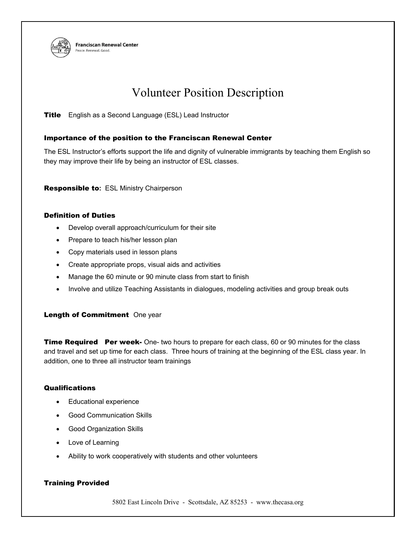

**Franciscan Renewal Center** eace. Renewal. Good

# Volunteer Position Description

**Title** English as a Second Language (ESL) Lead Instructor

### Importance of the position to the Franciscan Renewal Center

The ESL Instructor's efforts support the life and dignity of vulnerable immigrants by teaching them English so they may improve their life by being an instructor of ESL classes.

Responsible to**:** ESL Ministry Chairperson

#### Definition of Duties

- Develop overall approach/curriculum for their site
- Prepare to teach his/her lesson plan
- Copy materials used in lesson plans
- Create appropriate props, visual aids and activities
- Manage the 60 minute or 90 minute class from start to finish
- Involve and utilize Teaching Assistants in dialogues, modeling activities and group break outs

## Length of Commitment One year

**Time Required Per week-** One- two hours to prepare for each class, 60 or 90 minutes for the class and travel and set up time for each class. Three hours of training at the beginning of the ESL class year. In addition, one to three all instructor team trainings

#### **Qualifications**

- Educational experience
- Good Communication Skills
- Good Organization Skills
- Love of Learning
- Ability to work cooperatively with students and other volunteers

## Training Provided